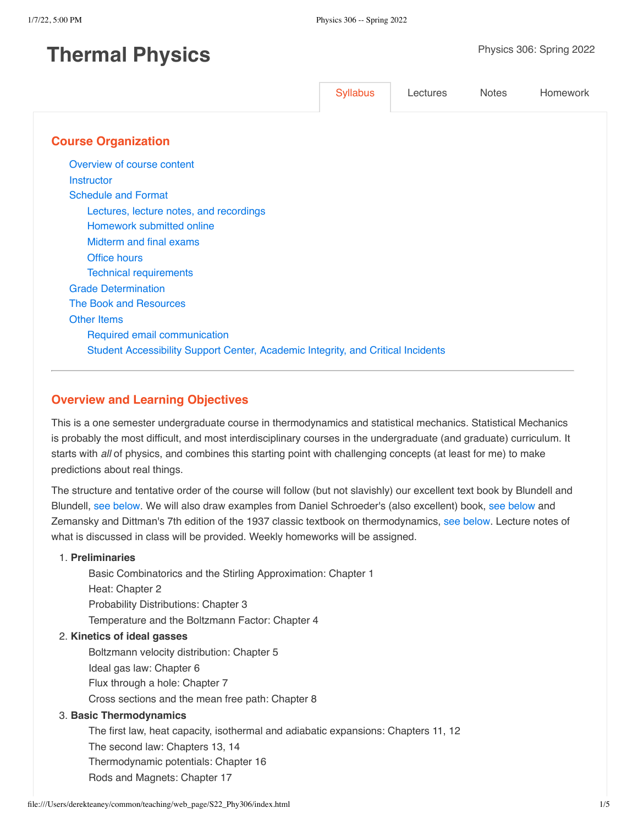# **Thermal Physics**

|                                                                                  | <b>Syllabus</b> | Lectures | <b>Notes</b> | <b>Homework</b> |
|----------------------------------------------------------------------------------|-----------------|----------|--------------|-----------------|
| <b>Course Organization</b>                                                       |                 |          |              |                 |
| Overview of course content                                                       |                 |          |              |                 |
| Instructor                                                                       |                 |          |              |                 |
| <b>Schedule and Format</b>                                                       |                 |          |              |                 |
| Lectures, lecture notes, and recordings                                          |                 |          |              |                 |
| Homework submitted online                                                        |                 |          |              |                 |
| Midterm and final exams                                                          |                 |          |              |                 |
| Office hours                                                                     |                 |          |              |                 |
| <b>Technical requirements</b>                                                    |                 |          |              |                 |
| <b>Grade Determination</b>                                                       |                 |          |              |                 |
| The Book and Resources                                                           |                 |          |              |                 |
| <b>Other Items</b>                                                               |                 |          |              |                 |
| Required email communication                                                     |                 |          |              |                 |
| Student Accessibility Support Center, Academic Integrity, and Critical Incidents |                 |          |              |                 |

# <span id="page-0-0"></span>**Overview and Learning Objectives**

This is a one semester undergraduate course in thermodynamics and statistical mechanics. Statistical Mechanics is probably the most difficult, and most interdisciplinary courses in the undergraduate (and graduate) curriculum. It starts with *all* of physics, and combines this starting point with challenging concepts (at least for me) to make predictions about real things.

The structure and tentative order of the course will follow (but not slavishly) our excellent text book by Blundell and Blundell, see [below.](#page-3-1) We will also draw examples from Daniel Schroeder's (also excellent) book, see [below](#page-3-1) and Zemansky and Dittman's 7th edition of the 1937 classic textbook on thermodynamics, see [below.](#page-3-1) Lecture notes of what is discussed in class will be provided. Weekly homeworks will be assigned.

# 1. **Preliminaries**

Basic Combinatorics and the Stirling Approximation: Chapter 1 Heat: Chapter 2 Probability Distributions: Chapter 3 Temperature and the Boltzmann Factor: Chapter 4

# 2. **Kinetics of ideal gasses**

Boltzmann velocity distribution: Chapter 5 Ideal gas law: Chapter 6 Flux through a hole: Chapter 7 Cross sections and the mean free path: Chapter 8

## 3. **Basic Thermodynamics**

The first law, heat capacity, isothermal and adiabatic expansions: Chapters 11, 12

The second law: Chapters 13, 14

Thermodynamic potentials: Chapter 16

Rods and Magnets: Chapter 17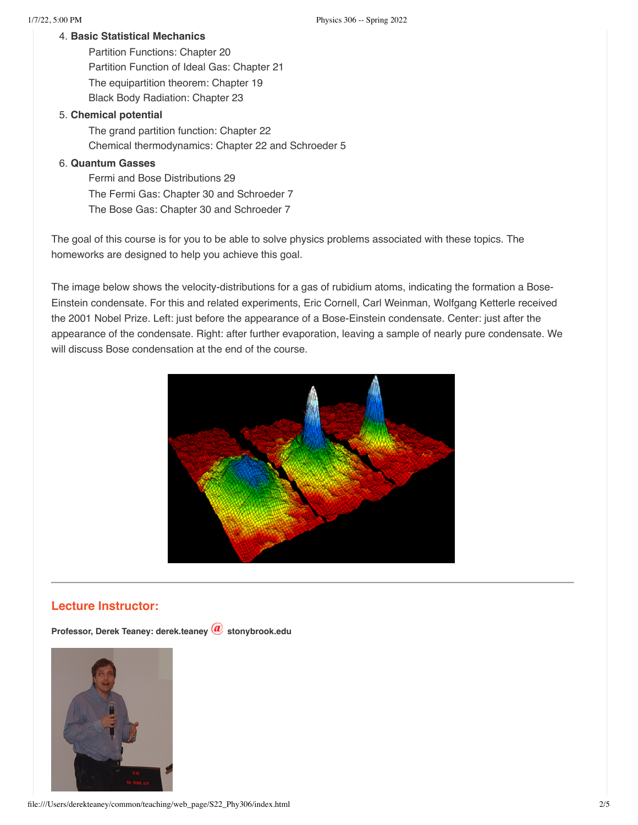## 4. **Basic Statistical Mechanics**

Partition Functions: Chapter 20 Partition Function of Ideal Gas: Chapter 21 The equipartition theorem: Chapter 19 Black Body Radiation: Chapter 23

# 5. **Chemical potential**

The grand partition function: Chapter 22 Chemical thermodynamics: Chapter 22 and Schroeder 5

# 6. **Quantum Gasses**

Fermi and Bose Distributions 29 The Fermi Gas: Chapter 30 and Schroeder 7 The Bose Gas: Chapter 30 and Schroeder 7

The goal of this course is for you to be able to solve physics problems associated with these topics. The homeworks are designed to help you achieve this goal.

The image below shows the velocity-distributions for a gas of rubidium atoms, indicating the formation a Bose-Einstein condensate. For this and related experiments, Eric Cornell, Carl Weinman, Wolfgang Ketterle received the 2001 Nobel Prize. Left: just before the appearance of a Bose-Einstein condensate. Center: just after the appearance of the condensate. Right: after further evaporation, leaving a sample of nearly pure condensate. We will discuss Bose condensation at the end of the course.



# <span id="page-1-0"></span>**Lecture Instructor:**

**Professor, Derek Teaney: derek.teaney stonybrook.edu**

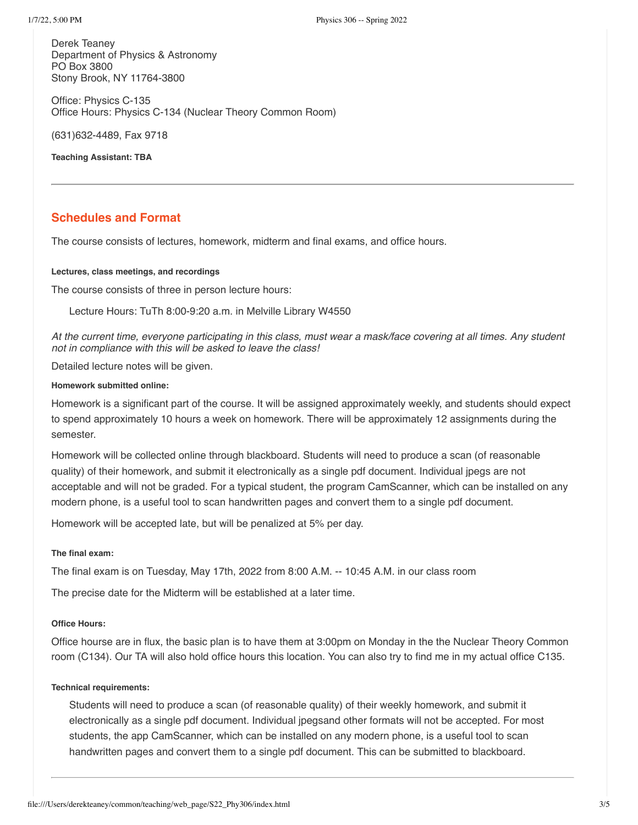Derek Teaney Department of Physics & Astronomy PO Box 3800 Stony Brook, NY 11764-3800

Office: Physics C-135 Office Hours: Physics C-134 (Nuclear Theory Common Room)

(631)632-4489, Fax 9718

**Teaching Assistant: TBA**

# <span id="page-2-0"></span>**Schedules and Format**

The course consists of lectures, homework, midterm and final exams, and office hours.

## <span id="page-2-1"></span>**Lectures, class meetings, and recordings**

The course consists of three in person lecture hours:

Lecture Hours: TuTh 8:00-9:20 a.m. in Melville Library W4550

At the current time, everyone participating in this class, must wear a mask/face covering at all times. Any student *not in compliance with this will be asked to leave the class!*

Detailed lecture notes will be given.

#### <span id="page-2-2"></span>**Homework submitted online:**

Homework is a significant part of the course. It will be assigned approximately weekly, and students should expect to spend approximately 10 hours a week on homework. There will be approximately 12 assignments during the semester.

Homework will be collected online through blackboard. Students will need to produce a scan (of reasonable quality) of their homework, and submit it electronically as a single pdf document. Individual jpegs are not acceptable and will not be graded. For a typical student, the program CamScanner, which can be installed on any modern phone, is a useful tool to scan handwritten pages and convert them to a single pdf document.

Homework will be accepted late, but will be penalized at 5% per day.

#### <span id="page-2-3"></span>**The final exam:**

The final exam is on Tuesday, May 17th, 2022 from 8:00 A.M. -- 10:45 A.M. in our class room

The precise date for the Midterm will be established at a later time.

#### <span id="page-2-4"></span>**Office Hours:**

Office hourse are in flux, the basic plan is to have them at 3:00pm on Monday in the the Nuclear Theory Common room (C134). Our TA will also hold office hours this location. You can also try to find me in my actual office C135.

#### <span id="page-2-5"></span>**Technical requirements:**

Students will need to produce a scan (of reasonable quality) of their weekly homework, and submit it electronically as a single pdf document. Individual jpegsand other formats will not be accepted. For most students, the app CamScanner, which can be installed on any modern phone, is a useful tool to scan handwritten pages and convert them to a single pdf document. This can be submitted to blackboard.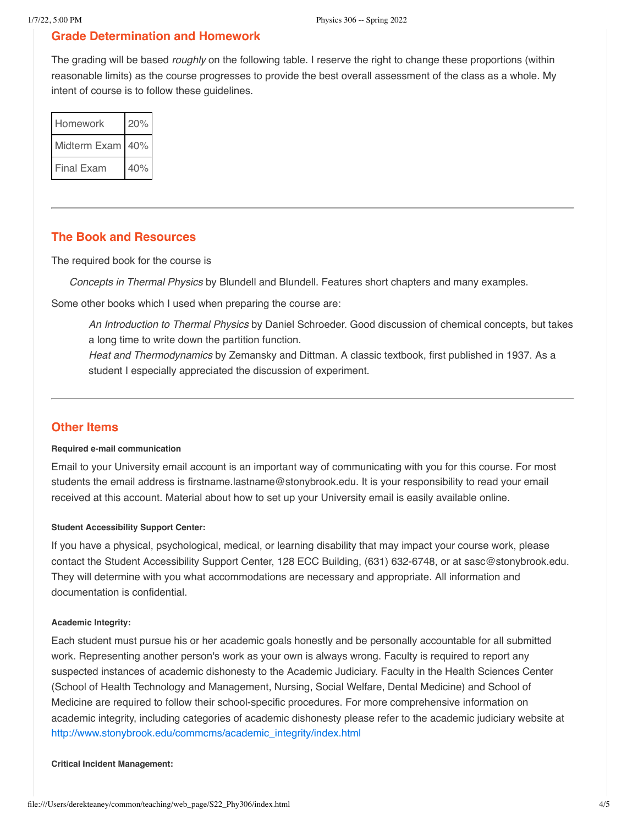# <span id="page-3-0"></span>**Grade Determination and Homework**

The grading will be based *roughly* on the following table. I reserve the right to change these proportions (within reasonable limits) as the course progresses to provide the best overall assessment of the class as a whole. My intent of course is to follow these guidelines.

| Homework     | 20% |  |
|--------------|-----|--|
| Midterm Exam | 40% |  |
| Final Exam   | 40% |  |

# <span id="page-3-1"></span>**The Book and Resources**

The required book for the course is

*Concepts in Thermal Physics* by Blundell and Blundell. Features short chapters and many examples.

Some other books which I used when preparing the course are:

*An Introduction to Thermal Physics* by Daniel Schroeder. Good discussion of chemical concepts, but takes a long time to write down the partition function.

*Heat and Thermodynamics* by Zemansky and Dittman. A classic textbook, first published in 1937. As a student I especially appreciated the discussion of experiment.

# <span id="page-3-2"></span>**Other Items**

#### <span id="page-3-3"></span>**Required e-mail communication**

Email to your University email account is an important way of communicating with you for this course. For most students the email address is firstname.lastname@stonybrook.edu. It is your responsibility to read your email received at this account. Material about how to set up your University email is easily available online.

#### <span id="page-3-4"></span>**Student Accessibility Support Center:**

If you have a physical, psychological, medical, or learning disability that may impact your course work, please contact the Student Accessibility Support Center, 128 ECC Building, (631) 632-6748, or at sasc@stonybrook.edu. They will determine with you what accommodations are necessary and appropriate. All information and documentation is confidential.

#### **Academic Integrity:**

Each student must pursue his or her academic goals honestly and be personally accountable for all submitted work. Representing another person's work as your own is always wrong. Faculty is required to report any suspected instances of academic dishonesty to the Academic Judiciary. Faculty in the Health Sciences Center (School of Health Technology and Management, Nursing, Social Welfare, Dental Medicine) and School of Medicine are required to follow their school-specific procedures. For more comprehensive information on academic integrity, including categories of academic dishonesty please refer to the academic judiciary website at [http://www.stonybrook.edu/commcms/academic\\_integrity/index.html](http://www.stonybrook.edu/commcms/academic_integrity/index.html)

#### **Critical Incident Management:**